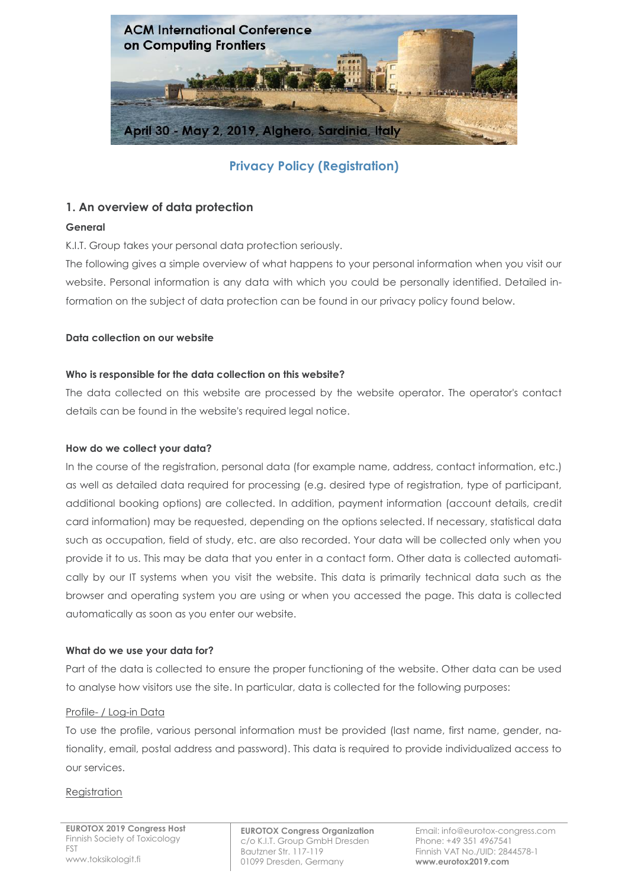

**Privacy Policy (Registration)**

# **1. An overview of data protection**

### **General**

K.I.T. Group takes your personal data protection seriously.

The following gives a simple overview of what happens to your personal information when you visit our website. Personal information is any data with which you could be personally identified. Detailed information on the subject of data protection can be found in our privacy policy found below.

### **Data collection on our website**

### **Who is responsible for the data collection on this website?**

The data collected on this website are processed by the website operator. The operator's contact details can be found in the website's required legal notice.

### **How do we collect your data?**

In the course of the registration, personal data (for example name, address, contact information, etc.) as well as detailed data required for processing (e.g. desired type of registration, type of participant, additional booking options) are collected. In addition, payment information (account details, credit card information) may be requested, depending on the options selected. If necessary, statistical data such as occupation, field of study, etc. are also recorded. Your data will be collected only when you provide it to us. This may be data that you enter in a contact form. Other data is collected automatically by our IT systems when you visit the website. This data is primarily technical data such as the browser and operating system you are using or when you accessed the page. This data is collected automatically as soon as you enter our website.

### **What do we use your data for?**

Part of the data is collected to ensure the proper functioning of the website. Other data can be used to analyse how visitors use the site. In particular, data is collected for the following purposes:

### Profile- / Log-in Data

To use the profile, various personal information must be provided (last name, first name, gender, nationality, email, postal address and password). This data is required to provide individualized access to our services.

### **Registration**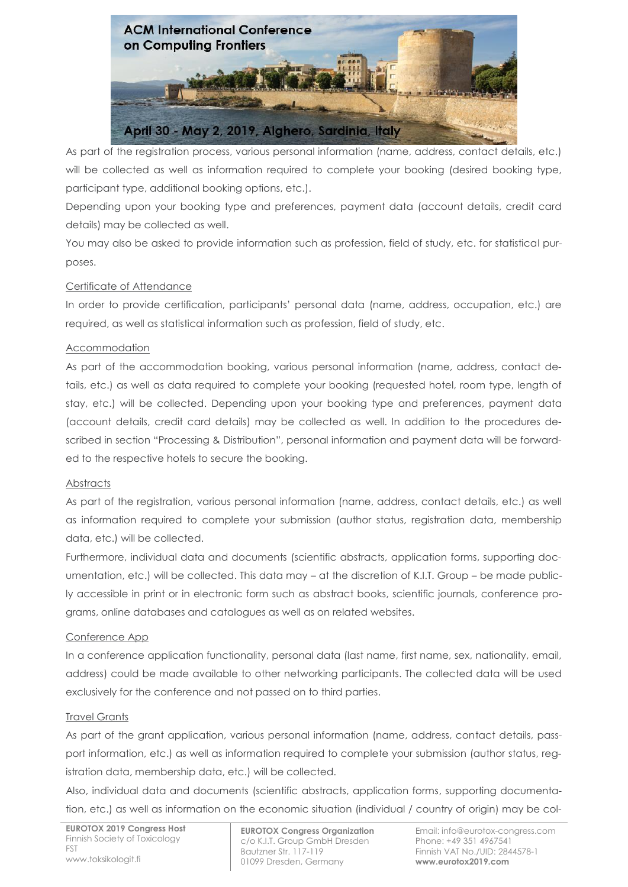

As part of the registration process, various personal information (name, address, contact details, etc.) will be collected as well as information required to complete your booking (desired booking type, participant type, additional booking options, etc.).

Depending upon your booking type and preferences, payment data (account details, credit card details) may be collected as well.

You may also be asked to provide information such as profession, field of study, etc. for statistical purposes.

# Certificate of Attendance

In order to provide certification, participants' personal data (name, address, occupation, etc.) are required, as well as statistical information such as profession, field of study, etc.

### Accommodation

As part of the accommodation booking, various personal information (name, address, contact details, etc.) as well as data required to complete your booking (requested hotel, room type, length of stay, etc.) will be collected. Depending upon your booking type and preferences, payment data (account details, credit card details) may be collected as well. In addition to the procedures described in section "Processing & Distribution", personal information and payment data will be forwarded to the respective hotels to secure the booking.

### **Abstracts**

As part of the registration, various personal information (name, address, contact details, etc.) as well as information required to complete your submission (author status, registration data, membership data, etc.) will be collected.

Furthermore, individual data and documents (scientific abstracts, application forms, supporting documentation, etc.) will be collected. This data may – at the discretion of K.I.T. Group – be made publicly accessible in print or in electronic form such as abstract books, scientific journals, conference programs, online databases and catalogues as well as on related websites.

### Conference App

In a conference application functionality, personal data (last name, first name, sex, nationality, email, address) could be made available to other networking participants. The collected data will be used exclusively for the conference and not passed on to third parties.

### Travel Grants

As part of the grant application, various personal information (name, address, contact details, passport information, etc.) as well as information required to complete your submission (author status, registration data, membership data, etc.) will be collected.

Also, individual data and documents (scientific abstracts, application forms, supporting documentation, etc.) as well as information on the economic situation (individual / country of origin) may be col-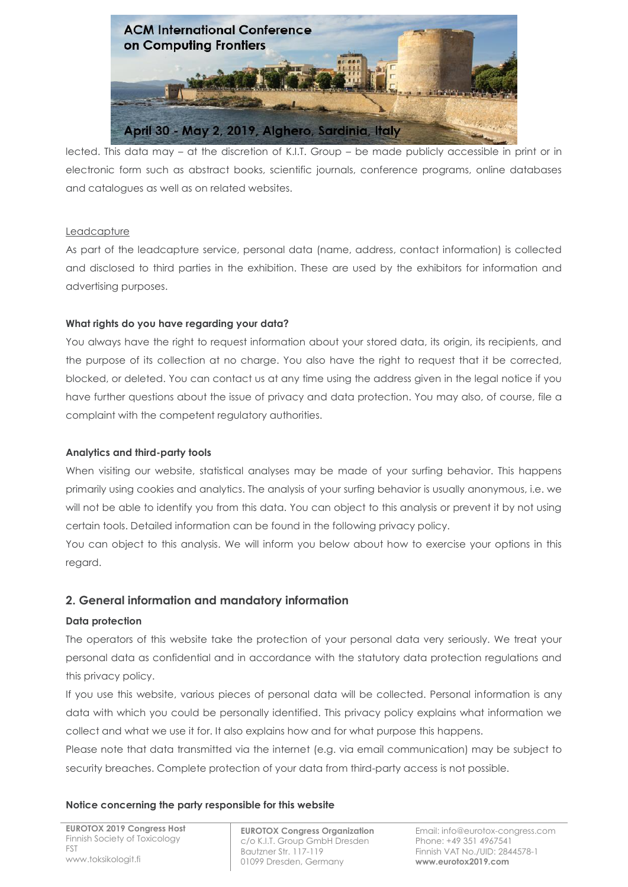

lected. This data may – at the discretion of K.I.T. Group – be made publicly accessible in print or in electronic form such as abstract books, scientific journals, conference programs, online databases and catalogues as well as on related websites.

### Leadcapture

As part of the leadcapture service, personal data (name, address, contact information) is collected and disclosed to third parties in the exhibition. These are used by the exhibitors for information and advertising purposes.

### **What rights do you have regarding your data?**

You always have the right to request information about your stored data, its origin, its recipients, and the purpose of its collection at no charge. You also have the right to request that it be corrected, blocked, or deleted. You can contact us at any time using the address given in the legal notice if you have further questions about the issue of privacy and data protection. You may also, of course, file a complaint with the competent regulatory authorities.

### **Analytics and third-party tools**

When visiting our website, statistical analyses may be made of your surfing behavior. This happens primarily using cookies and analytics. The analysis of your surfing behavior is usually anonymous, i.e. we will not be able to identify you from this data. You can object to this analysis or prevent it by not using certain tools. Detailed information can be found in the following privacy policy.

You can object to this analysis. We will inform you below about how to exercise your options in this regard.

# **2. General information and mandatory information**

### **Data protection**

The operators of this website take the protection of your personal data very seriously. We treat your personal data as confidential and in accordance with the statutory data protection regulations and this privacy policy.

If you use this website, various pieces of personal data will be collected. Personal information is any data with which you could be personally identified. This privacy policy explains what information we collect and what we use it for. It also explains how and for what purpose this happens.

Please note that data transmitted via the internet (e.g. via email communication) may be subject to security breaches. Complete protection of your data from third-party access is not possible.

#### **Notice concerning the party responsible for this website**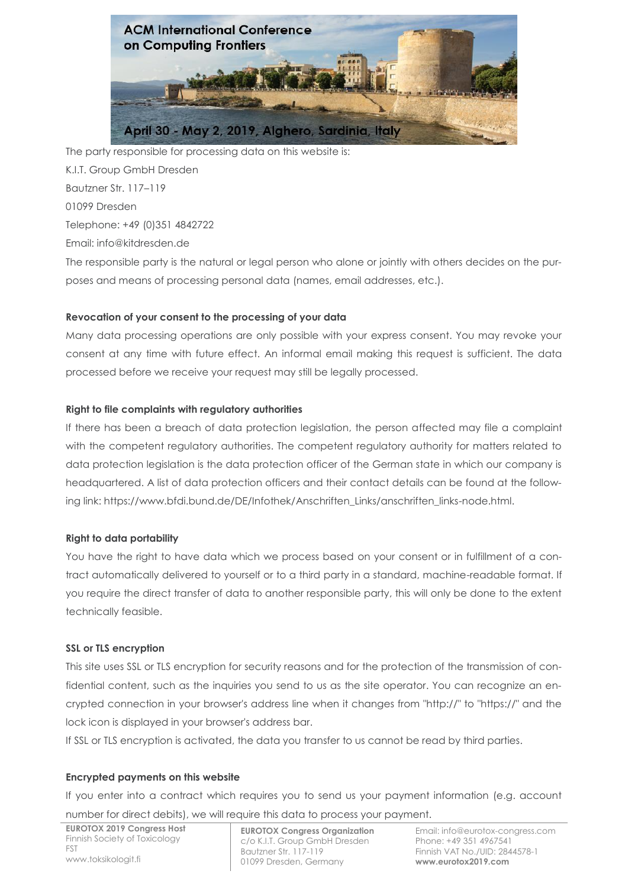

The party responsible for processing data on this website is: K.I.T. Group GmbH Dresden Bautzner Str. 117–119 01099 Dresden Telephone: +49 (0)351 4842722 Email: info@kitdresden.de The responsible party is the natural or legal person who alone or jointly with others decides on the pur-

poses and means of processing personal data (names, email addresses, etc.).

# **Revocation of your consent to the processing of your data**

Many data processing operations are only possible with your express consent. You may revoke your consent at any time with future effect. An informal email making this request is sufficient. The data processed before we receive your request may still be legally processed.

#### **Right to file complaints with regulatory authorities**

If there has been a breach of data protection legislation, the person affected may file a complaint with the competent regulatory authorities. The competent regulatory authority for matters related to data protection legislation is the data protection officer of the German state in which our company is headquartered. A list of data protection officers and their contact details can be found at the following link: https://www.bfdi.bund.de/DE/Infothek/Anschriften\_Links/anschriften\_links-node.html.

#### **Right to data portability**

You have the right to have data which we process based on your consent or in fulfillment of a contract automatically delivered to yourself or to a third party in a standard, machine-readable format. If you require the direct transfer of data to another responsible party, this will only be done to the extent technically feasible.

#### **SSL or TLS encryption**

This site uses SSL or TLS encryption for security reasons and for the protection of the transmission of confidential content, such as the inquiries you send to us as the site operator. You can recognize an encrypted connection in your browser's address line when it changes from "http://" to "https://" and the lock icon is displayed in your browser's address bar.

If SSL or TLS encryption is activated, the data you transfer to us cannot be read by third parties.

#### **Encrypted payments on this website**

If you enter into a contract which requires you to send us your payment information (e.g. account number for direct debits), we will require this data to process your payment.

**EUROTOX 2019 Congress Host** Finnish Society of Toxicology FST www.toksikologit.fi

 **EUROTOX Congress Organization** c/o K.I.T. Group GmbH Dresden Bautzner Str. 117-119 01099 Dresden, Germany

Email: info@eurotox-congress.com Phone: +49 351 4967541 Finnish VAT No./UID: 2844578-1 **www.eurotox2019.com**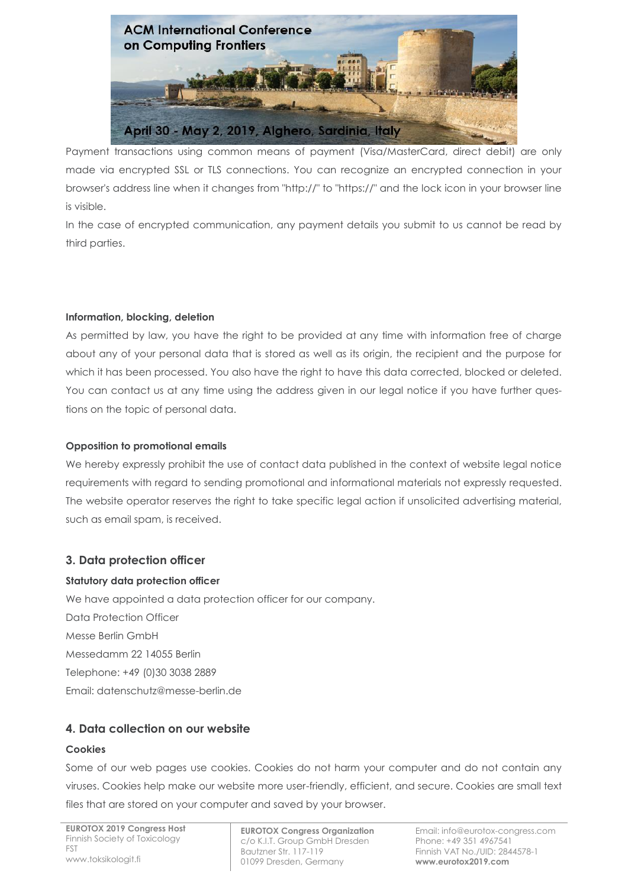

Payment transactions using common means of payment (Visa/MasterCard, direct debit) are only made via encrypted SSL or TLS connections. You can recognize an encrypted connection in your browser's address line when it changes from "http://" to "https://" and the lock icon in your browser line is visible.

In the case of encrypted communication, any payment details you submit to us cannot be read by third parties.

### **Information, blocking, deletion**

As permitted by law, you have the right to be provided at any time with information free of charge about any of your personal data that is stored as well as its origin, the recipient and the purpose for which it has been processed. You also have the right to have this data corrected, blocked or deleted. You can contact us at any time using the address given in our legal notice if you have further questions on the topic of personal data.

### **Opposition to promotional emails**

We hereby expressly prohibit the use of contact data published in the context of website legal notice requirements with regard to sending promotional and informational materials not expressly requested. The website operator reserves the right to take specific legal action if unsolicited advertising material, such as email spam, is received.

# **3. Data protection officer**

# **Statutory data protection officer**

We have appointed a data protection officer for our company. Data Protection Officer Messe Berlin GmbH Messedamm 22 14055 Berlin Telephone: +49 (0)30 3038 2889 Email: datenschutz@messe-berlin.de

# **4. Data collection on our website**

### **Cookies**

Some of our web pages use cookies. Cookies do not harm your computer and do not contain any viruses. Cookies help make our website more user-friendly, efficient, and secure. Cookies are small text files that are stored on your computer and saved by your browser.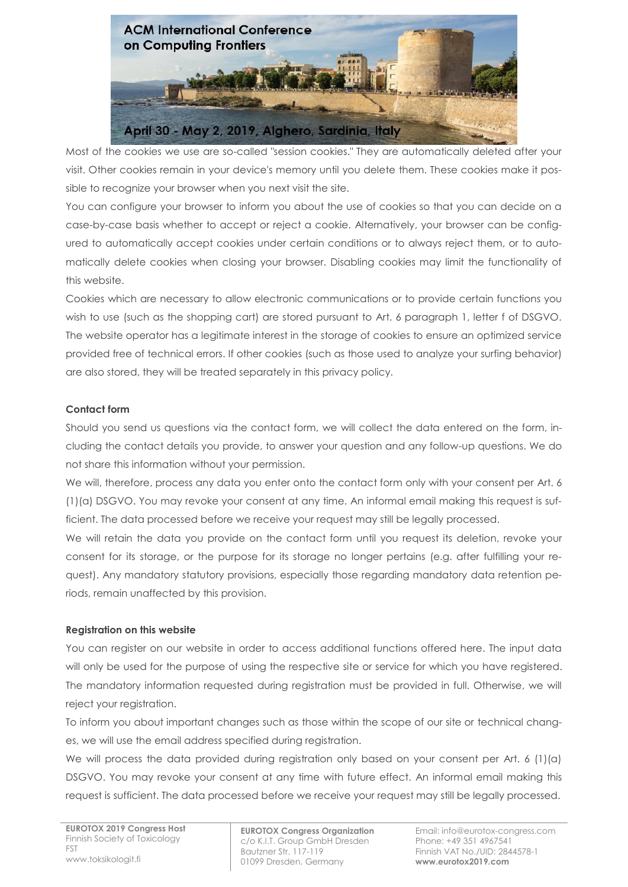

Most of the cookies we use are so-called "session cookies." They are automatically deleted after your visit. Other cookies remain in your device's memory until you delete them. These cookies make it possible to recognize your browser when you next visit the site.

You can configure your browser to inform you about the use of cookies so that you can decide on a case-by-case basis whether to accept or reject a cookie. Alternatively, your browser can be configured to automatically accept cookies under certain conditions or to always reject them, or to automatically delete cookies when closing your browser. Disabling cookies may limit the functionality of this website.

Cookies which are necessary to allow electronic communications or to provide certain functions you wish to use (such as the shopping cart) are stored pursuant to Art. 6 paragraph 1, letter f of DSGVO. The website operator has a legitimate interest in the storage of cookies to ensure an optimized service provided free of technical errors. If other cookies (such as those used to analyze your surfing behavior) are also stored, they will be treated separately in this privacy policy.

### **Contact form**

Should you send us questions via the contact form, we will collect the data entered on the form, including the contact details you provide, to answer your question and any follow-up questions. We do not share this information without your permission.

We will, therefore, process any data you enter onto the contact form only with your consent per Art. 6 (1)(a) DSGVO. You may revoke your consent at any time. An informal email making this request is sufficient. The data processed before we receive your request may still be legally processed.

We will retain the data you provide on the contact form until you request its deletion, revoke your consent for its storage, or the purpose for its storage no longer pertains (e.g. after fulfilling your request). Any mandatory statutory provisions, especially those regarding mandatory data retention periods, remain unaffected by this provision.

### **Registration on this website**

You can register on our website in order to access additional functions offered here. The input data will only be used for the purpose of using the respective site or service for which you have registered. The mandatory information requested during registration must be provided in full. Otherwise, we will reject your registration.

To inform you about important changes such as those within the scope of our site or technical changes, we will use the email address specified during registration.

We will process the data provided during registration only based on your consent per Art. 6 (1)(a) DSGVO. You may revoke your consent at any time with future effect. An informal email making this request is sufficient. The data processed before we receive your request may still be legally processed.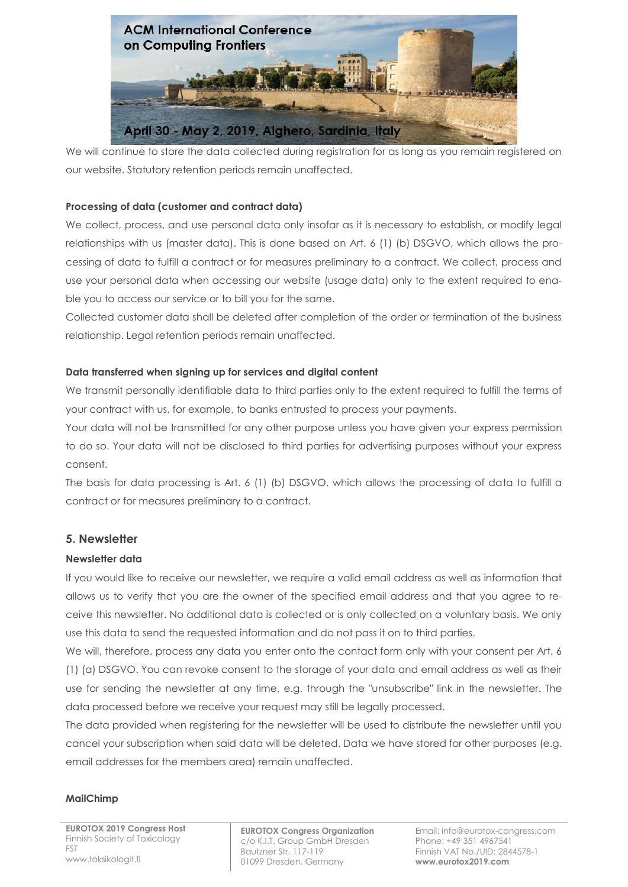

We will continue to store the data collected during registration for as long as you remain registered on our website. Statutory retention periods remain unaffected.

### **Processing of data (customer and contract data)**

We collect, process, and use personal data only insofar as it is necessary to establish, or modify legal relationships with us (master data). This is done based on Art. 6 (1) (b) DSGVO, which allows the processing of data to fulfill a contract or for measures preliminary to a contract. We collect, process and use your personal data when accessing our website (usage data) only to the extent required to enable you to access our service or to bill you for the same.

Collected customer data shall be deleted after completion of the order or termination of the business relationship. Legal retention periods remain unaffected.

### **Data transferred when signing up for services and digital content**

We transmit personally identifiable data to third parties only to the extent required to fulfill the terms of your contract with us, for example, to banks entrusted to process your payments.

Your data will not be transmitted for any other purpose unless you have given your express permission to do so. Your data will not be disclosed to third parties for advertising purposes without your express consent.

The basis for data processing is Art. 6 (1) (b) DSGVO, which allows the processing of data to fulfill a contract or for measures preliminary to a contract.

# **5. Newsletter**

### **Newsletter data**

If you would like to receive our newsletter, we require a valid email address as well as information that allows us to verify that you are the owner of the specified email address and that you agree to receive this newsletter. No additional data is collected or is only collected on a voluntary basis. We only use this data to send the requested information and do not pass it on to third parties.

We will, therefore, process any data you enter onto the contact form only with your consent per Art. 6 (1) (a) DSGVO. You can revoke consent to the storage of your data and email address as well as their use for sending the newsletter at any time, e.g. through the "unsubscribe" link in the newsletter. The data processed before we receive your request may still be legally processed.

The data provided when registering for the newsletter will be used to distribute the newsletter until you cancel your subscription when said data will be deleted. Data we have stored for other purposes (e.g. email addresses for the members area) remain unaffected.

### **MailChimp**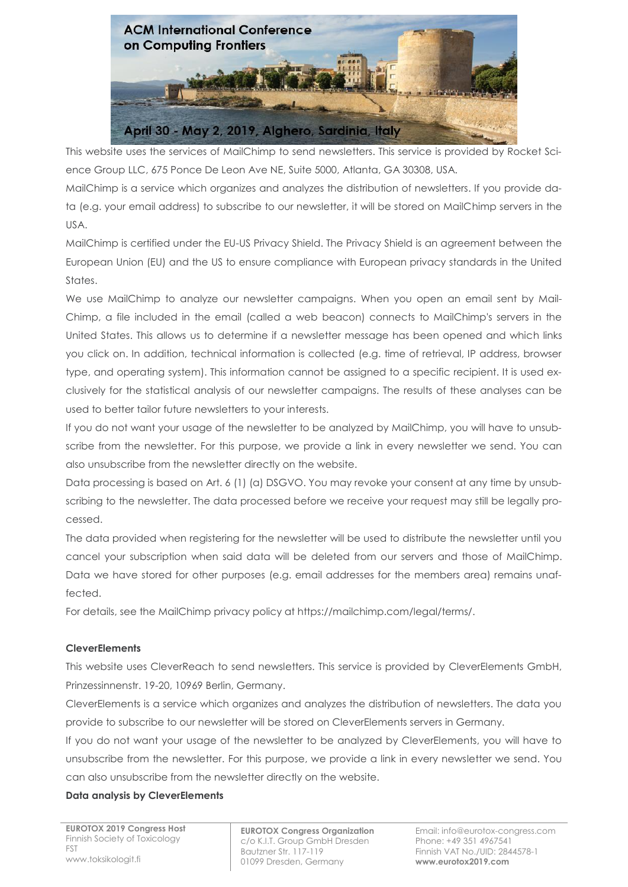

This website uses the services of MailChimp to send newsletters. This service is provided by Rocket Science Group LLC, 675 Ponce De Leon Ave NE, Suite 5000, Atlanta, GA 30308, USA.

MailChimp is a service which organizes and analyzes the distribution of newsletters. If you provide data (e.g. your email address) to subscribe to our newsletter, it will be stored on MailChimp servers in the USA.

MailChimp is certified under the EU-US Privacy Shield. The Privacy Shield is an agreement between the European Union (EU) and the US to ensure compliance with European privacy standards in the United States.

We use MailChimp to analyze our newsletter campaigns. When you open an email sent by Mail-Chimp, a file included in the email (called a web beacon) connects to MailChimp's servers in the United States. This allows us to determine if a newsletter message has been opened and which links you click on. In addition, technical information is collected (e.g. time of retrieval, IP address, browser type, and operating system). This information cannot be assigned to a specific recipient. It is used exclusively for the statistical analysis of our newsletter campaigns. The results of these analyses can be used to better tailor future newsletters to your interests.

If you do not want your usage of the newsletter to be analyzed by MailChimp, you will have to unsubscribe from the newsletter. For this purpose, we provide a link in every newsletter we send. You can also unsubscribe from the newsletter directly on the website.

Data processing is based on Art. 6 (1) (a) DSGVO. You may revoke your consent at any time by unsubscribing to the newsletter. The data processed before we receive your request may still be legally processed.

The data provided when registering for the newsletter will be used to distribute the newsletter until you cancel your subscription when said data will be deleted from our servers and those of MailChimp. Data we have stored for other purposes (e.g. email addresses for the members area) remains unaffected.

For details, see the MailChimp privacy policy at https://mailchimp.com/legal/terms/.

### **CleverElements**

This website uses CleverReach to send newsletters. This service is provided by CleverElements GmbH, Prinzessinnenstr. 19-20, 10969 Berlin, Germany.

CleverElements is a service which organizes and analyzes the distribution of newsletters. The data you provide to subscribe to our newsletter will be stored on CleverElements servers in Germany.

If you do not want your usage of the newsletter to be analyzed by CleverElements, you will have to unsubscribe from the newsletter. For this purpose, we provide a link in every newsletter we send. You can also unsubscribe from the newsletter directly on the website.

### **Data analysis by CleverElements**